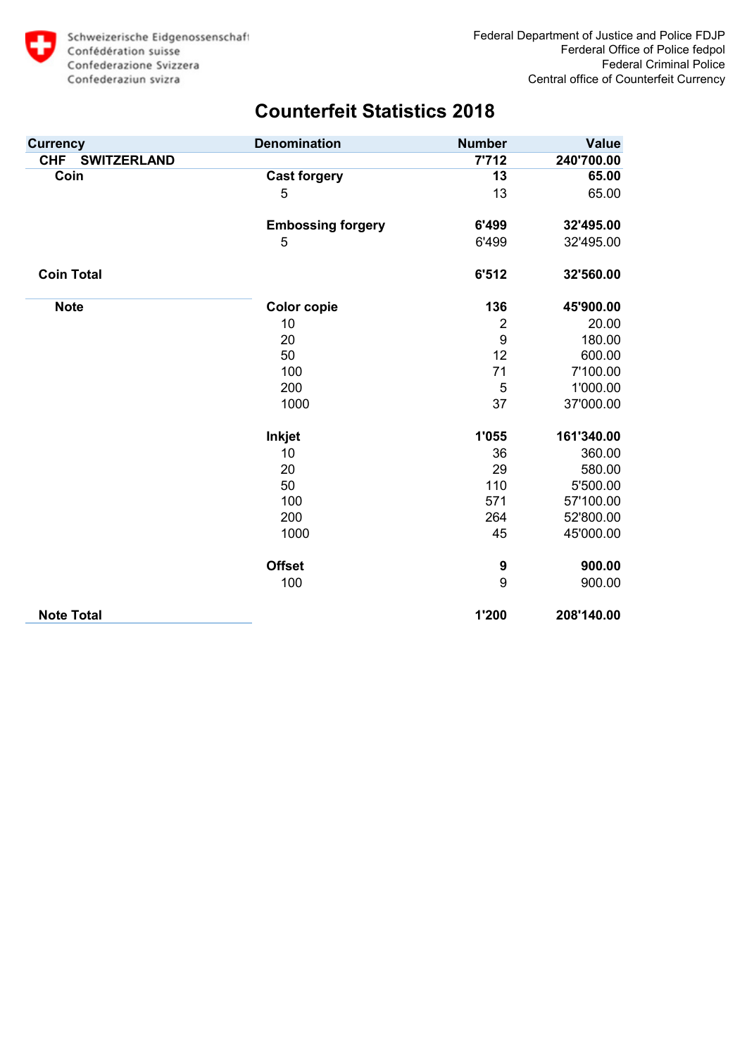

| <b>Currency</b>                  | <b>Denomination</b>      | <b>Number</b>    | <b>Value</b> |
|----------------------------------|--------------------------|------------------|--------------|
| <b>CHF</b><br><b>SWITZERLAND</b> |                          | 7'712            | 240'700.00   |
| Coin                             | <b>Cast forgery</b>      | 13               | 65.00        |
|                                  | 5                        | 13               | 65.00        |
|                                  | <b>Embossing forgery</b> | 6'499            | 32'495.00    |
|                                  | 5                        | 6'499            | 32'495.00    |
| <b>Coin Total</b>                |                          | 6'512            | 32'560.00    |
| <b>Note</b>                      | <b>Color copie</b>       | 136              | 45'900.00    |
|                                  | 10                       | $\overline{2}$   | 20.00        |
|                                  | 20                       | $\boldsymbol{9}$ | 180.00       |
|                                  | 50                       | 12               | 600.00       |
|                                  | 100                      | 71               | 7'100.00     |
|                                  | 200                      | 5                | 1'000.00     |
|                                  | 1000                     | 37               | 37'000.00    |
|                                  | <b>Inkjet</b>            | 1'055            | 161'340.00   |
|                                  | 10                       | 36               | 360.00       |
|                                  | 20                       | 29               | 580.00       |
|                                  | 50                       | 110              | 5'500.00     |
|                                  | 100                      | 571              | 57'100.00    |
|                                  | 200                      | 264              | 52'800.00    |
|                                  | 1000                     | 45               | 45'000.00    |
|                                  | <b>Offset</b>            | 9                | 900.00       |
|                                  | 100                      | 9                | 900.00       |
| <b>Note Total</b>                |                          | 1'200            | 208'140.00   |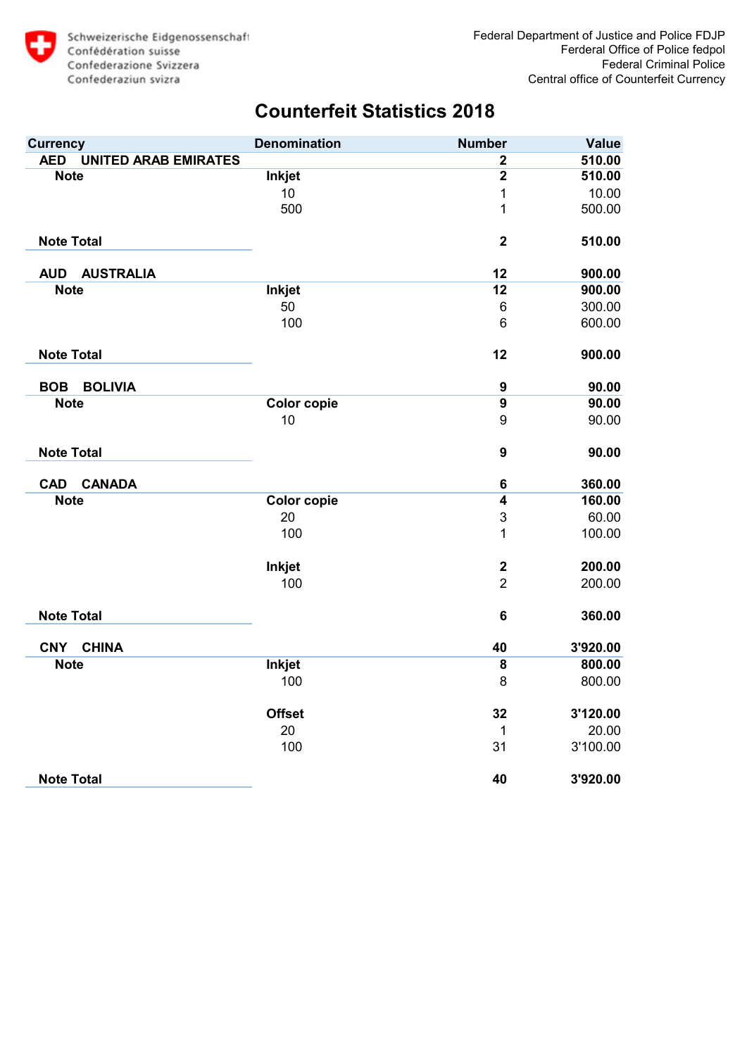

| <b>Currency</b>                           | <b>Denomination</b> | <b>Number</b>           | <b>Value</b> |
|-------------------------------------------|---------------------|-------------------------|--------------|
| <b>UNITED ARAB EMIRATES</b><br><b>AED</b> |                     | $\mathbf{2}$            | 510.00       |
| <b>Note</b>                               | <b>Inkjet</b>       | $\overline{2}$          | 510.00       |
|                                           | 10                  | 1                       | 10.00        |
|                                           | 500                 | $\overline{1}$          | 500.00       |
| <b>Note Total</b>                         |                     | $\overline{\mathbf{2}}$ | 510.00       |
| <b>AUD</b><br><b>AUSTRALIA</b>            |                     | 12                      | 900.00       |
| <b>Note</b>                               | <b>Inkjet</b>       | 12                      | 900.00       |
|                                           | 50                  | $6\phantom{1}6$         | 300.00       |
|                                           | 100                 | $6\phantom{1}6$         | 600.00       |
| <b>Note Total</b>                         |                     | 12                      | 900.00       |
| <b>BOLIVIA</b><br><b>BOB</b>              |                     | $\boldsymbol{9}$        | 90.00        |
| <b>Note</b>                               | <b>Color copie</b>  | $\overline{9}$          | 90.00        |
|                                           | 10                  | 9                       | 90.00        |
| <b>Note Total</b>                         |                     | $\boldsymbol{9}$        | 90.00        |
| <b>CANADA</b><br><b>CAD</b>               |                     | $\bf 6$                 | 360.00       |
| <b>Note</b>                               | <b>Color copie</b>  | $\overline{4}$          | 160.00       |
|                                           | 20                  | 3                       | 60.00        |
|                                           | 100                 | $\overline{1}$          | 100.00       |
|                                           | <b>Inkjet</b>       | $\boldsymbol{2}$        | 200.00       |
|                                           | 100                 | $\overline{2}$          | 200.00       |
| <b>Note Total</b>                         |                     | $6\phantom{1}6$         | 360.00       |
| <b>CNY</b><br><b>CHINA</b>                |                     | 40                      | 3'920.00     |
| <b>Note</b>                               | <b>Inkjet</b>       | $\overline{\mathbf{8}}$ | 800.00       |
|                                           | 100                 | 8                       | 800.00       |
|                                           | <b>Offset</b>       | 32                      | 3'120.00     |
|                                           | 20                  | $\mathbf{1}$            | 20.00        |
|                                           | 100                 | 31                      | 3'100.00     |
| <b>Note Total</b>                         |                     | 40                      | 3'920.00     |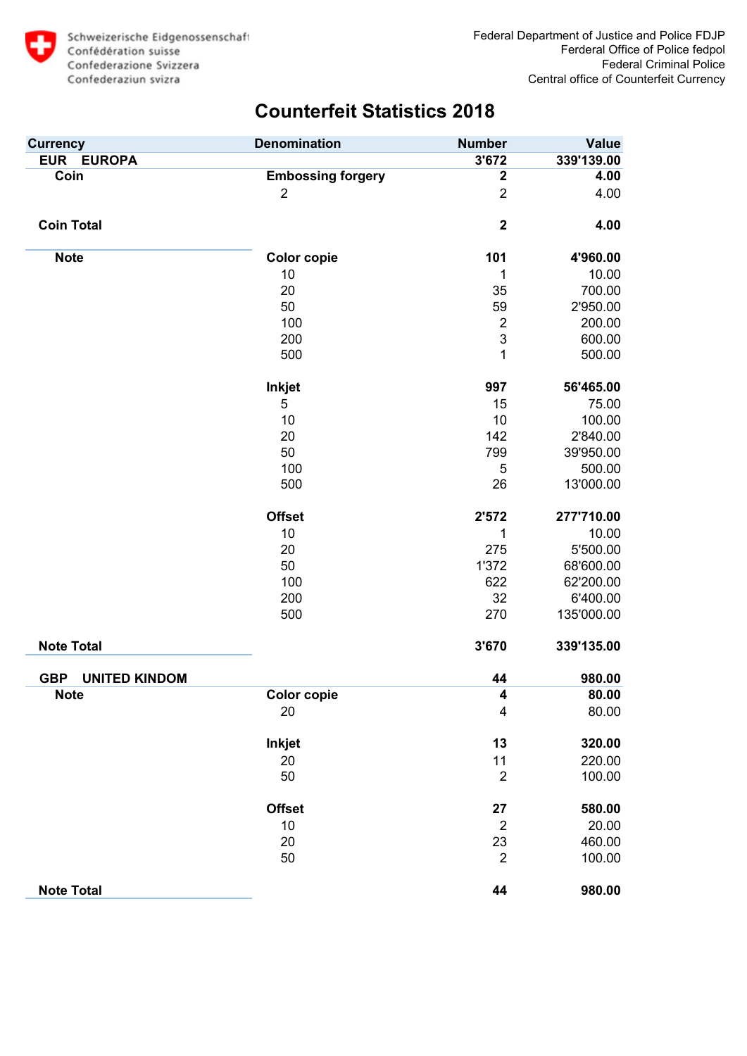

| <b>Currency</b>                    | <b>Denomination</b>      | <b>Number</b>    | <b>Value</b> |
|------------------------------------|--------------------------|------------------|--------------|
| EUR EUROPA                         |                          | 3'672            | 339'139.00   |
| Coin                               | <b>Embossing forgery</b> | $\boldsymbol{2}$ | 4.00         |
|                                    | $\overline{2}$           | $\overline{2}$   | 4.00         |
| <b>Coin Total</b>                  |                          | $\boldsymbol{2}$ | 4.00         |
| <b>Note</b>                        | <b>Color copie</b>       | 101              | 4'960.00     |
|                                    | 10                       | 1                | 10.00        |
|                                    | 20                       | 35               | 700.00       |
|                                    | 50                       | 59               | 2'950.00     |
|                                    | 100                      | $\overline{c}$   | 200.00       |
|                                    | 200                      | 3                | 600.00       |
|                                    | 500                      | 1                | 500.00       |
|                                    | <b>Inkjet</b>            | 997              | 56'465.00    |
|                                    | 5                        | 15               | 75.00        |
|                                    | 10                       | 10               | 100.00       |
|                                    | 20                       | 142              | 2'840.00     |
|                                    | 50                       | 799              | 39'950.00    |
|                                    | 100                      | 5                | 500.00       |
|                                    | 500                      | 26               | 13'000.00    |
|                                    | <b>Offset</b>            | 2'572            | 277'710.00   |
|                                    | 10                       | 1                | 10.00        |
|                                    | 20                       | 275              | 5'500.00     |
|                                    | 50                       | 1'372            | 68'600.00    |
|                                    | 100                      | 622              | 62'200.00    |
|                                    | 200                      | 32               | 6'400.00     |
|                                    | 500                      | 270              | 135'000.00   |
| <b>Note Total</b>                  |                          | 3'670            | 339'135.00   |
| <b>GBP</b><br><b>UNITED KINDOM</b> |                          | 44               | 980.00       |
| <b>Note</b>                        | <b>Color copie</b>       | 4                | 80.00        |
|                                    | 20                       | 4                | 80.00        |
|                                    | Inkjet                   | 13               | 320.00       |
|                                    | 20                       | 11               | 220.00       |
|                                    | 50                       | $\overline{2}$   | 100.00       |
|                                    | <b>Offset</b>            | 27               | 580.00       |
|                                    | 10                       | $\overline{2}$   | 20.00        |
|                                    | 20                       | 23               | 460.00       |
|                                    | 50                       | $\overline{2}$   | 100.00       |
| <b>Note Total</b>                  |                          | 44               | 980.00       |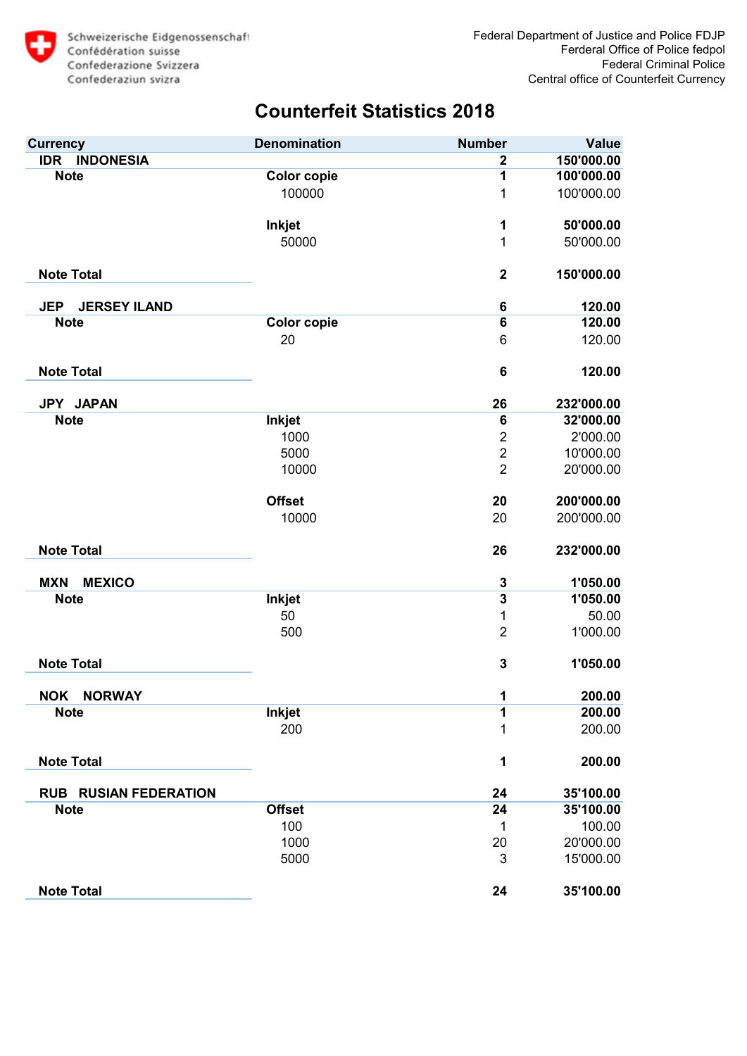

| <b>Currency</b>                   | <b>Denomination</b> | <b>Number</b>           | <b>Value</b> |
|-----------------------------------|---------------------|-------------------------|--------------|
| <b>IDR</b><br><b>INDONESIA</b>    |                     | $\mathbf 2$             | 150'000.00   |
| <b>Note</b>                       | Color copie         | 1                       | 100'000.00   |
|                                   | 100000              | 1                       | 100'000.00   |
|                                   | <b>Inkjet</b>       | 1                       | 50'000.00    |
|                                   | 50000               | $\mathbf 1$             | 50'000.00    |
| <b>Note Total</b>                 |                     | $\mathbf 2$             | 150'000.00   |
| <b>JERSEY ILAND</b><br><b>JEP</b> |                     | 6                       | 120.00       |
| <b>Note</b>                       | <b>Color copie</b>  | 6                       | 120.00       |
|                                   | 20                  | 6                       | 120.00       |
| <b>Note Total</b>                 |                     | $6\phantom{1}6$         | 120.00       |
| JPY JAPAN                         |                     | 26                      | 232'000.00   |
| <b>Note</b>                       | Inkjet              | 6                       | 32'000.00    |
|                                   | 1000                | $\overline{2}$          | 2'000.00     |
|                                   | 5000                | $\overline{c}$          | 10'000.00    |
|                                   | 10000               | $\overline{2}$          | 20'000.00    |
|                                   | <b>Offset</b>       | 20                      | 200'000.00   |
|                                   | 10000               | 20                      | 200'000.00   |
| <b>Note Total</b>                 |                     | 26                      | 232'000.00   |
| <b>MEXICO</b><br><b>MXN</b>       |                     | 3                       | 1'050.00     |
| <b>Note</b>                       | <b>Inkjet</b>       | $\overline{\mathbf{3}}$ | 1'050.00     |
|                                   | 50                  | 1                       | 50.00        |
|                                   | 500                 | $\overline{2}$          | 1'000.00     |
| <b>Note Total</b>                 |                     | 3                       | 1'050.00     |
| <b>NOK</b><br><b>NORWAY</b>       |                     | 1                       | 200.00       |
| <b>Note</b>                       | <b>Inkjet</b>       | 1                       | 200.00       |
|                                   | 200                 | 1                       | 200.00       |
| <b>Note Total</b>                 |                     | 1                       | 200.00       |
| <b>RUB RUSIAN FEDERATION</b>      |                     | 24                      | 35'100.00    |
| <b>Note</b>                       | <b>Offset</b>       | 24                      | 35'100.00    |
|                                   | 100                 | 1                       | 100.00       |
|                                   | 1000                | 20                      | 20'000.00    |
|                                   | 5000                | 3                       | 15'000.00    |
| <b>Note Total</b>                 |                     | 24                      | 35'100.00    |